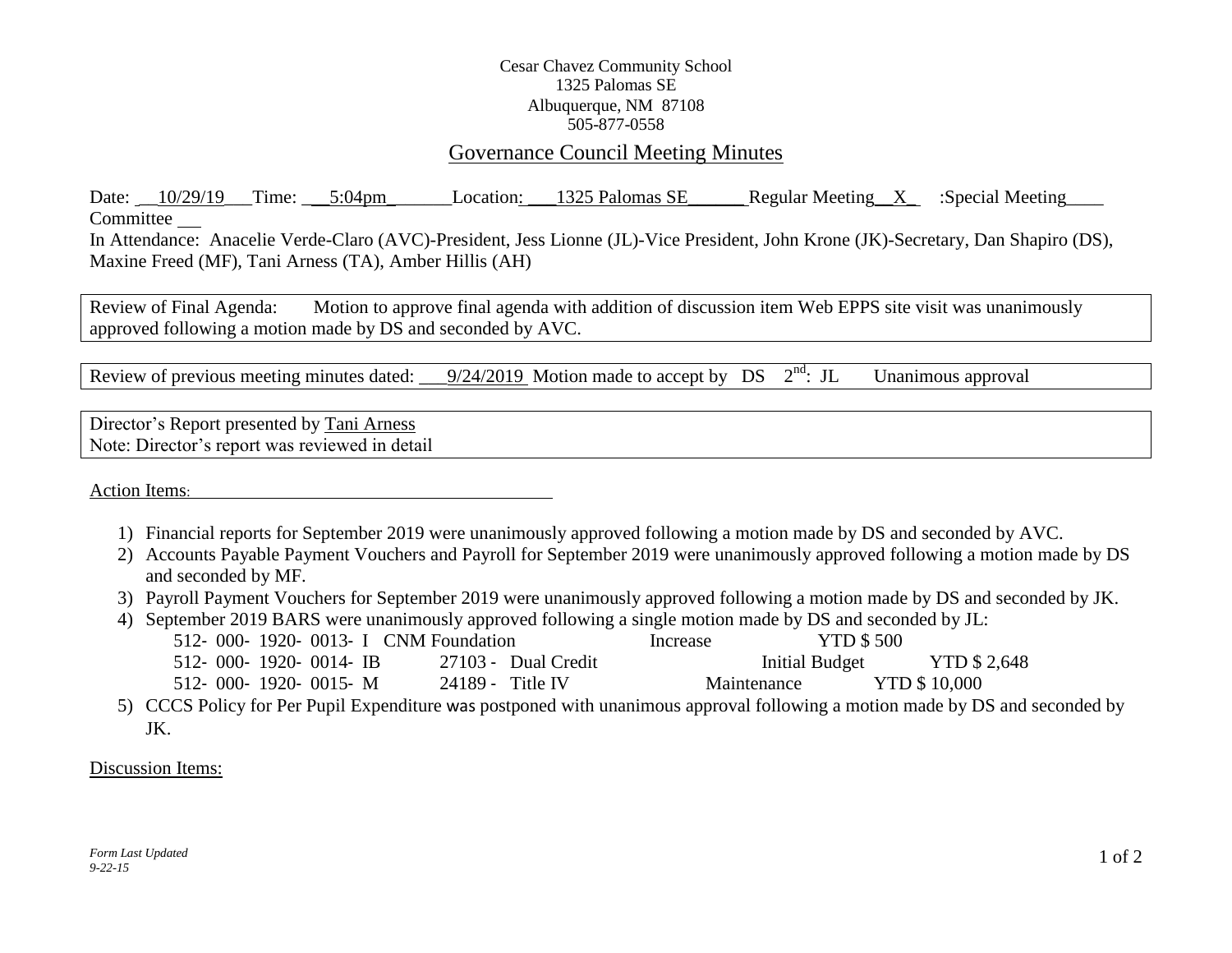## Cesar Chavez Community School 1325 Palomas SE Albuquerque, NM 87108 505-877-0558

## Governance Council Meeting Minutes

Date:  $10/29/19$  Time:  $5:04$ pm Location:  $1325$  Palomas SE Regular Meeting X :Special Meeting Committee

In Attendance: Anacelie Verde-Claro (AVC)-President, Jess Lionne (JL)-Vice President, John Krone (JK)-Secretary, Dan Shapiro (DS), Maxine Freed (MF), Tani Arness (TA), Amber Hillis (AH)

Review of Final Agenda: Motion to approve final agenda with addition of discussion item Web EPPS site visit was unanimously approved following a motion made by DS and seconded by AVC.

Review of previous meeting minutes dated:  $\frac{9/24/2019}{9/24/2019}$  Motion made to accept by DS  $2^{nd}$ Unanimous approval

Director's Report presented by Tani Arness Note: Director's report was reviewed in detail

Action Items:

- 1) Financial reports for September 2019 were unanimously approved following a motion made by DS and seconded by AVC.
- 2) Accounts Payable Payment Vouchers and Payroll for September 2019 were unanimously approved following a motion made by DS and seconded by MF.
- 3) Payroll Payment Vouchers for September 2019 were unanimously approved following a motion made by DS and seconded by JK.
- 4) September 2019 BARS were unanimously approved following a single motion made by DS and seconded by JL:

| 512- 000- 1920- 0013- I CNM Foundation |                     | Increase    | <b>YTD \$500</b> |                     |
|----------------------------------------|---------------------|-------------|------------------|---------------------|
| 512-000-1920-0014-IB                   | 27103 - Dual Credit |             | Initial Budget   | YTD \$ 2,648        |
| 512- 000- 1920- 0015- M                | $24189 -$ Title IV  | Maintenance |                  | <b>YTD \$10,000</b> |

5) CCCS Policy for Per Pupil Expenditure was postponed with unanimous approval following a motion made by DS and seconded by JK.

Discussion Items: